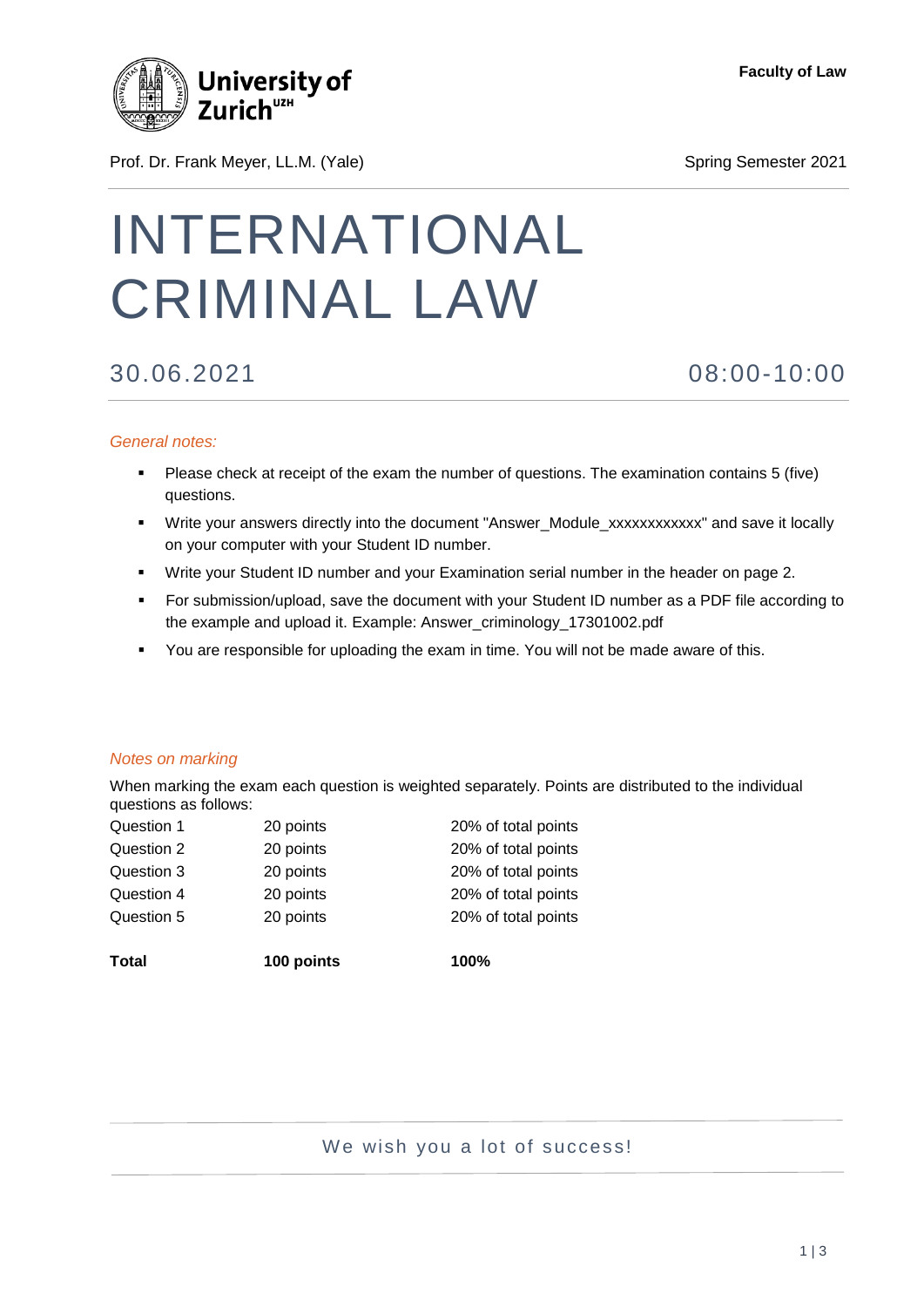

**Faculty of Law**

# Prof. Dr. Frank Meyer, LL.M. (Yale) Spring Semester 2021

# INTERNATIONAL CRIMINAL LAW

30.06.2021 08:00-10:00

## *General notes:*

- Please check at receipt of the exam the number of questions. The examination contains 5 (five) questions.
- Write your answers directly into the document "Answer\_Module\_xxxxxxxxxxxx" and save it locally on your computer with your Student ID number.
- Write your Student ID number and your Examination serial number in the header on page 2.
- For submission/upload, save the document with your Student ID number as a PDF file according to the example and upload it. Example: Answer\_criminology\_17301002.pdf
- You are responsible for uploading the exam in time. You will not be made aware of this.

### *Notes on marking*

When marking the exam each question is weighted separately. Points are distributed to the individual questions as follows:

| <b>Total</b> | 100 points | 100%                |
|--------------|------------|---------------------|
| Question 5   | 20 points  | 20% of total points |
| Question 4   | 20 points  | 20% of total points |
| Question 3   | 20 points  | 20% of total points |
| Question 2   | 20 points  | 20% of total points |
| Question 1   | 20 points  | 20% of total points |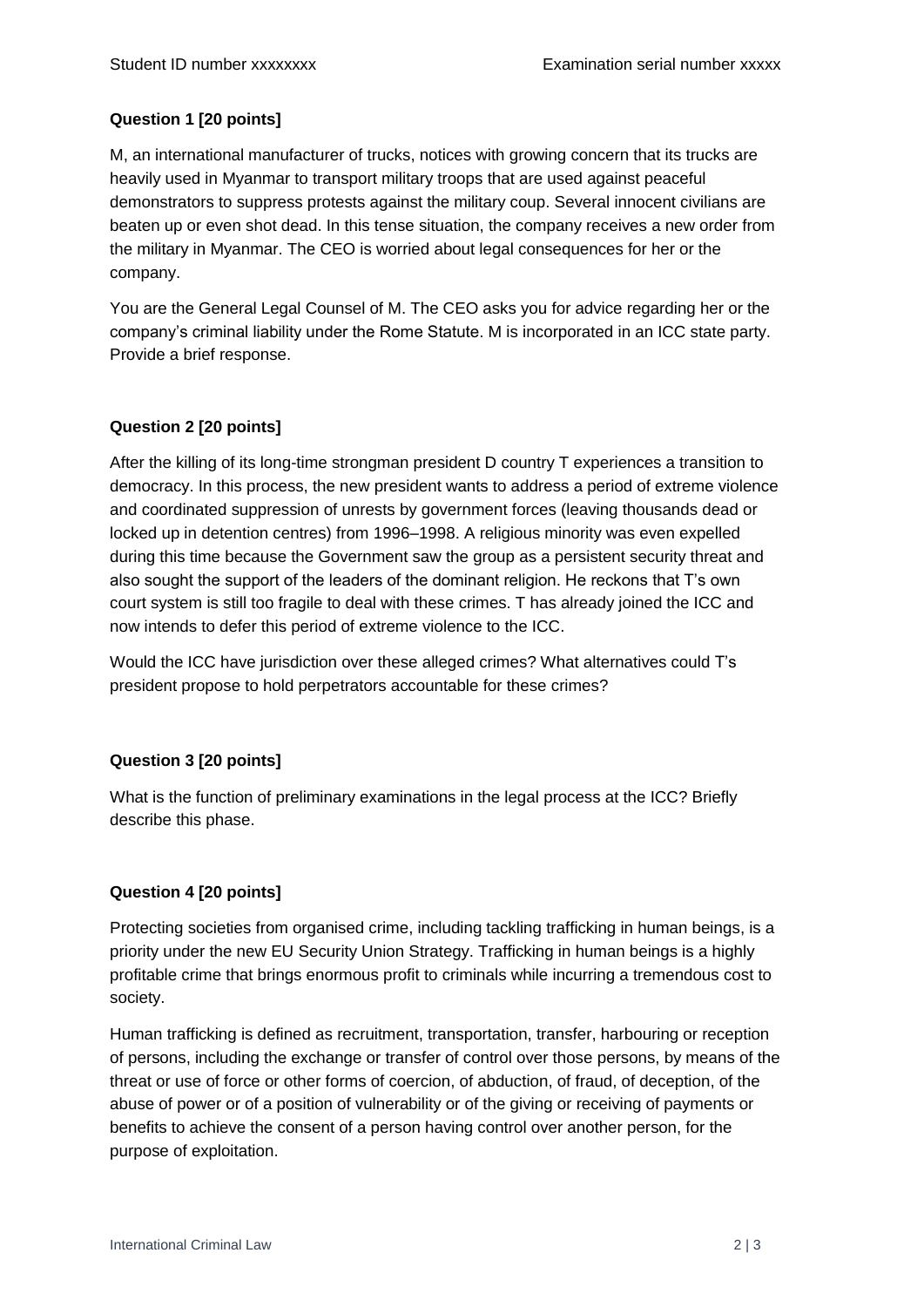# **Question 1 [20 points]**

M, an international manufacturer of trucks, notices with growing concern that its trucks are heavily used in Myanmar to transport military troops that are used against peaceful demonstrators to suppress protests against the military coup. Several innocent civilians are beaten up or even shot dead. In this tense situation, the company receives a new order from the military in Myanmar. The CEO is worried about legal consequences for her or the company.

You are the General Legal Counsel of M. The CEO asks you for advice regarding her or the company's criminal liability under the Rome Statute. M is incorporated in an ICC state party. Provide a brief response.

## **Question 2 [20 points]**

After the killing of its long-time strongman president D country T experiences a transition to democracy. In this process, the new president wants to address a period of extreme violence and coordinated suppression of unrests by government forces (leaving thousands dead or locked up in detention centres) from 1996–1998. A religious minority was even expelled during this time because the Government saw the group as a persistent security threat and also sought the support of the leaders of the dominant religion. He reckons that T's own court system is still too fragile to deal with these crimes. T has already joined the ICC and now intends to defer this period of extreme violence to the ICC.

Would the ICC have jurisdiction over these alleged crimes? What alternatives could T's president propose to hold perpetrators accountable for these crimes?

### **Question 3 [20 points]**

What is the function of preliminary examinations in the legal process at the ICC? Briefly describe this phase.

### **Question 4 [20 points]**

Protecting societies from organised crime, including tackling trafficking in human beings, is a priority under the new EU Security Union Strategy. Trafficking in human beings is a highly profitable crime that brings enormous profit to criminals while incurring a tremendous cost to society.

Human trafficking is defined as recruitment, transportation, transfer, harbouring or reception of persons, including the exchange or transfer of control over those persons, by means of the threat or use of force or other forms of coercion, of abduction, of fraud, of deception, of the abuse of power or of a position of vulnerability or of the giving or receiving of payments or benefits to achieve the consent of a person having control over another person, for the purpose of exploitation.